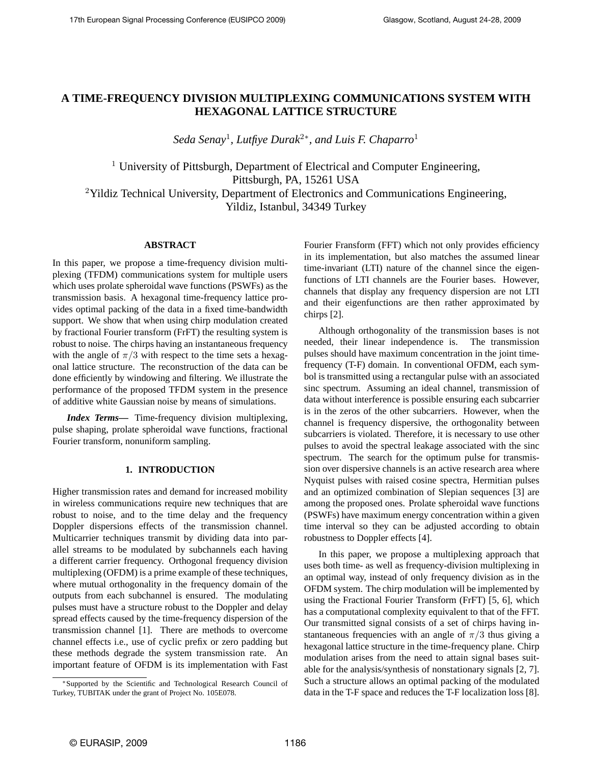# **A TIME-FREQUENCY DIVISION MULTIPLEXING COMMUNICATIONS SYSTEM WITH HEXAGONAL LATTICE STRUCTURE**

*Seda Senay*<sup>1</sup> *, Lutfiye Durak*<sup>2</sup><sup>∗</sup> *, and Luis F. Chaparro*<sup>1</sup>

<sup>1</sup> University of Pittsburgh, Department of Electrical and Computer Engineering, Pittsburgh, PA, 15261 USA <sup>2</sup>Yildiz Technical University, Department of Electronics and Communications Engineering, Yildiz, Istanbul, 34349 Turkey

## **ABSTRACT**

In this paper, we propose a time-frequency division multiplexing (TFDM) communications system for multiple users which uses prolate spheroidal wave functions (PSWFs) as the transmission basis. A hexagonal time-frequency lattice provides optimal packing of the data in a fixed time-bandwidth support. We show that when using chirp modulation created by fractional Fourier transform (FrFT) the resulting system is robust to noise. The chirps having an instantaneous frequency with the angle of  $\pi/3$  with respect to the time sets a hexagonal lattice structure. The reconstruction of the data can be done efficiently by windowing and filtering. We illustrate the performance of the proposed TFDM system in the presence of additive white Gaussian noise by means of simulations.

*Index Terms***—** Time-frequency division multiplexing, pulse shaping, prolate spheroidal wave functions, fractional Fourier transform, nonuniform sampling.

## **1. INTRODUCTION**

Higher transmission rates and demand for increased mobility in wireless communications require new techniques that are robust to noise, and to the time delay and the frequency Doppler dispersions effects of the transmission channel. Multicarrier techniques transmit by dividing data into parallel streams to be modulated by subchannels each having a different carrier frequency. Orthogonal frequency division multiplexing (OFDM) is a prime example of these techniques, where mutual orthogonality in the frequency domain of the outputs from each subchannel is ensured. The modulating pulses must have a structure robust to the Doppler and delay spread effects caused by the time-frequency dispersion of the transmission channel [1]. There are methods to overcome channel effects i.e., use of cyclic prefix or zero padding but these methods degrade the system transmission rate. An important feature of OFDM is its implementation with Fast Fourier Fransform (FFT) which not only provides efficiency in its implementation, but also matches the assumed linear time-invariant (LTI) nature of the channel since the eigenfunctions of LTI channels are the Fourier bases. However, channels that display any frequency dispersion are not LTI and their eigenfunctions are then rather approximated by chirps [2].

Although orthogonality of the transmission bases is not needed, their linear independence is. The transmission pulses should have maximum concentration in the joint timefrequency (T-F) domain. In conventional OFDM, each symbol is transmitted using a rectangular pulse with an associated sinc spectrum. Assuming an ideal channel, transmission of data without interference is possible ensuring each subcarrier is in the zeros of the other subcarriers. However, when the channel is frequency dispersive, the orthogonality between subcarriers is violated. Therefore, it is necessary to use other pulses to avoid the spectral leakage associated with the sinc spectrum. The search for the optimum pulse for transmission over dispersive channels is an active research area where Nyquist pulses with raised cosine spectra, Hermitian pulses and an optimized combination of Slepian sequences [3] are among the proposed ones. Prolate spheroidal wave functions (PSWFs) have maximum energy concentration within a given time interval so they can be adjusted according to obtain robustness to Doppler effects [4].

In this paper, we propose a multiplexing approach that uses both time- as well as frequency-division multiplexing in an optimal way, instead of only frequency division as in the OFDM system. The chirp modulation will be implemented by using the Fractional Fourier Transform (FrFT) [5, 6], which has a computational complexity equivalent to that of the FFT. Our transmitted signal consists of a set of chirps having instantaneous frequencies with an angle of  $\pi/3$  thus giving a hexagonal lattice structure in the time-frequency plane. Chirp modulation arises from the need to attain signal bases suitable for the analysis/synthesis of nonstationary signals [2, 7]. Such a structure allows an optimal packing of the modulated data in the T-F space and reduces the T-F localization loss [8].

<sup>∗</sup>Supported by the Scientific and Technological Research Council of Turkey, TUBITAK under the grant of Project No. 105E078.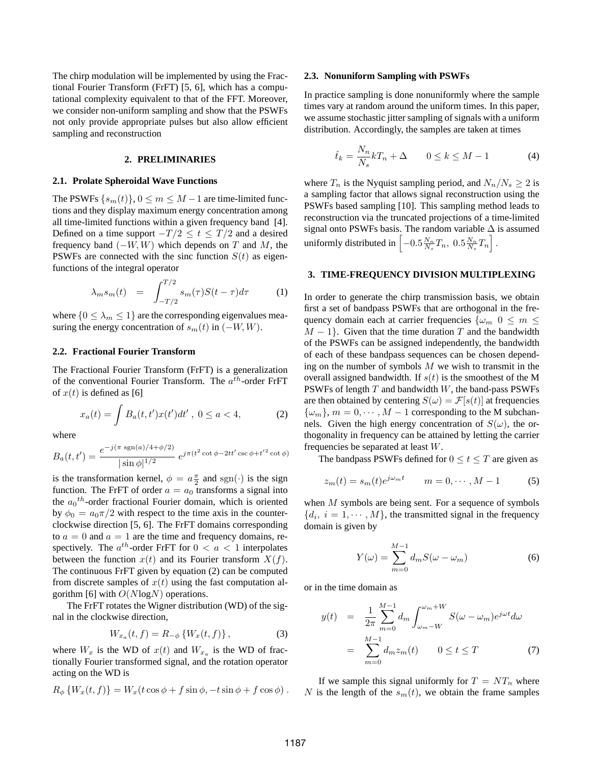The chirp modulation will be implemented by using the Fractional Fourier Transform (FrFT) [5, 6], which has a computational complexity equivalent to that of the FFT. Moreover, we consider non-uniform sampling and show that the PSWFs not only provide appropriate pulses but also allow efficient sampling and reconstruction

## **2. PRELIMINARIES**

## **2.1. Prolate Spheroidal Wave Functions**

The PSWFs  $\{s_m(t)\}\,$ ,  $0 \le m \le M-1$  are time-limited functions and they display maximum energy concentration among all time-limited functions within a given frequency band [4]. Defined on a time support  $-T/2 \le t \le T/2$  and a desired frequency band  $(-W, W)$  which depends on T and M, the PSWFs are connected with the sinc function  $S(t)$  as eigenfunctions of the integral operator

$$
\lambda_m s_m(t) = \int_{-T/2}^{T/2} s_m(\tau) S(t - \tau) d\tau \qquad (1)
$$

where  $\{0 \leq \lambda_m \leq 1\}$  are the corresponding eigenvalues measuring the energy concentration of  $s_m(t)$  in  $(-W, W)$ .

## **2.2. Fractional Fourier Transform**

The Fractional Fourier Transform (FrFT) is a generalization of the conventional Fourier Transform. The  $a^{th}$ -order FrFT of  $x(t)$  is defined as [6]

$$
x_a(t) = \int B_a(t, t')x(t')dt', \ 0 \le a < 4,
$$
 (2)

where

$$
B_a(t, t') = \frac{e^{-j(\pi \operatorname{sgn}(a)/4 + \phi/2)}}{|\sin \phi|^{1/2}} e^{j\pi(t^2 \cot \phi - 2tt' \csc \phi + t'^2 \cot \phi)}
$$

is the transformation kernel,  $\phi = a \frac{\pi}{2}$  and sgn( $\cdot$ ) is the sign function. The FrFT of order  $a = a_0$  transforms a signal into the  $a_0$ <sup>th</sup>-order fractional Fourier domain, which is oriented by  $\phi_0 = a_0 \pi/2$  with respect to the time axis in the counterclockwise direction [5, 6]. The FrFT domains corresponding to  $a = 0$  and  $a = 1$  are the time and frequency domains, respectively. The  $a^{th}$ -order FrFT for  $0 < a < 1$  interpolates between the function  $x(t)$  and its Fourier transform  $X(f)$ . The continuous FrFT given by equation (2) can be computed from discrete samples of  $x(t)$  using the fast computation algorithm [6] with  $O(N \log N)$  operations.

The FrFT rotates the Wigner distribution (WD) of the signal in the clockwise direction,

$$
W_{x_a}(t,f) = R_{-\phi} \{ W_x(t,f) \}, \tag{3}
$$

where  $W_x$  is the WD of  $x(t)$  and  $W_{x_a}$  is the WD of fractionally Fourier transformed signal, and the rotation operator acting on the WD is

$$
R_{\phi}\left\{W_x(t,f)\right\} = W_x(t\cos\phi + f\sin\phi, -t\sin\phi + f\cos\phi).
$$

#### **2.3. Nonuniform Sampling with PSWFs**

In practice sampling is done nonuniformly where the sample times vary at random around the uniform times. In this paper, we assume stochastic jitter sampling of signals with a uniform distribution. Accordingly, the samples are taken at times

$$
\hat{t}_k = \frac{N_n}{N_s} kT_n + \Delta \qquad 0 \le k \le M - 1 \tag{4}
$$

where  $T_n$  is the Nyquist sampling period, and  $N_n/N_s \geq 2$  is a sampling factor that allows signal reconstruction using the PSWFs based sampling [10]. This sampling method leads to reconstruction via the truncated projections of a time-limited signal onto PSWFs basis. The random variable  $\Delta$  is assumed uniformly distributed in  $\left[-0.5\frac{N_n}{N_s}T_n, 0.5\frac{N_n}{N_s}T_n\right]$ .

## **3. TIME-FREQUENCY DIVISION MULTIPLEXING**

In order to generate the chirp transmission basis, we obtain first a set of bandpass PSWFs that are orthogonal in the frequency domain each at carrier frequencies  $\{\omega_m\; 0 \leq m \leq \}$  $M-1$ . Given that the time duration T and the bandwidth of the PSWFs can be assigned independently, the bandwidth of each of these bandpass sequences can be chosen depending on the number of symbols  $M$  we wish to transmit in the overall assigned bandwidth. If  $s(t)$  is the smoothest of the M PSWFs of length  $T$  and bandwidth  $W$ , the band-pass PSWFs are then obtained by centering  $S(\omega) = \mathcal{F}[s(t)]$  at frequencies  $\{\omega_m\}, m = 0, \cdots, M-1$  corresponding to the M subchannels. Given the high energy concentration of  $S(\omega)$ , the orthogonality in frequency can be attained by letting the carrier frequencies be separated at least W.

The bandpass PSWFs defined for  $0 \le t \le T$  are given as

$$
z_m(t) = s_m(t)e^{j\omega_m t} \qquad m = 0, \cdots, M - 1 \tag{5}
$$

when M symbols are being sent. For a sequence of symbols  $\{d_i, i = 1, \cdots, M\}$ , the transmitted signal in the frequency domain is given by

$$
Y(\omega) = \sum_{m=0}^{M-1} d_m S(\omega - \omega_m)
$$
 (6)

or in the time domain as

$$
y(t) = \frac{1}{2\pi} \sum_{m=0}^{M-1} d_m \int_{\omega_m - W}^{\omega_m + W} S(\omega - \omega_m) e^{j\omega t} d\omega
$$

$$
= \sum_{m=0}^{M-1} d_m z_m(t) \qquad 0 \le t \le T \tag{7}
$$

If we sample this signal uniformly for  $T = NT_n$  where N is the length of the  $s_m(t)$ , we obtain the frame samples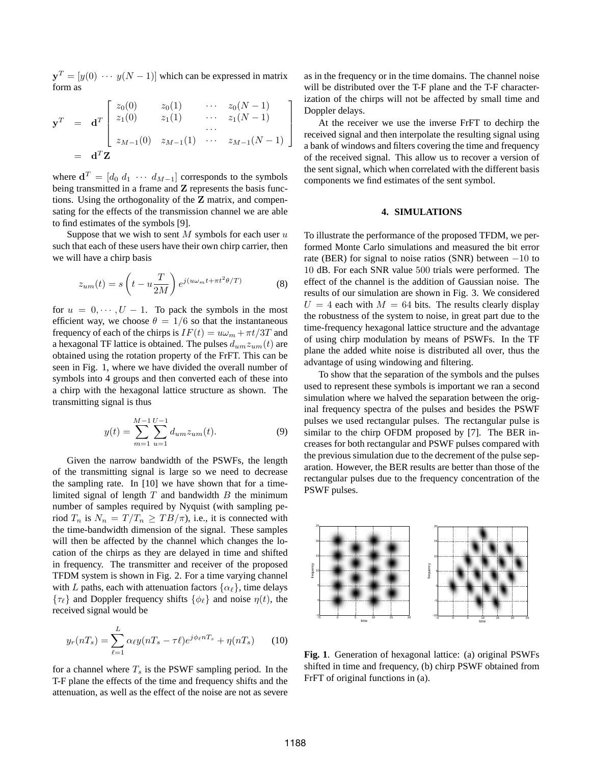$y^T = [y(0) \cdots y(N-1)]$  which can be expressed in matrix form as

$$
\mathbf{y}^T = \mathbf{d}^T \begin{bmatrix} z_0(0) & z_0(1) & \cdots & z_0(N-1) \\ z_1(0) & z_1(1) & \cdots & z_1(N-1) \\ \vdots & \vdots & \ddots & \vdots \\ z_{M-1}(0) & z_{M-1}(1) & \cdots & z_{M-1}(N-1) \end{bmatrix}
$$
  
=  $\mathbf{d}^T \mathbf{Z}$ 

where  $\mathbf{d}^T = [d_0 \ d_1 \ \cdots \ d_{M-1}]$  corresponds to the symbols being transmitted in a frame and Z represents the basis functions. Using the orthogonality of the Z matrix, and compensating for the effects of the transmission channel we are able to find estimates of the symbols [9].

Suppose that we wish to sent  $M$  symbols for each user  $u$ such that each of these users have their own chirp carrier, then we will have a chirp basis

$$
z_{um}(t) = s\left(t - u\frac{T}{2M}\right)e^{j(u\omega_m t + \pi t^2 \theta/T)}
$$
(8)

for  $u = 0, \dots, U - 1$ . To pack the symbols in the most efficient way, we choose  $\theta = 1/6$  so that the instantaneous frequency of each of the chirps is  $IF(t) = u\omega_m + \pi t/3T$  and a hexagonal TF lattice is obtained. The pulses  $d_{um}z_{um}(t)$  are obtained using the rotation property of the FrFT. This can be seen in Fig. 1, where we have divided the overall number of symbols into 4 groups and then converted each of these into a chirp with the hexagonal lattice structure as shown. The transmitting signal is thus

$$
y(t) = \sum_{m=1}^{M-1} \sum_{u=1}^{U-1} d_{um} z_{um}(t).
$$
 (9)

Given the narrow bandwidth of the PSWFs, the length of the transmitting signal is large so we need to decrease the sampling rate. In [10] we have shown that for a timelimited signal of length  $T$  and bandwidth  $B$  the minimum number of samples required by Nyquist (with sampling period  $T_n$  is  $N_n = T/T_n \ge TB/\pi$ , i.e., it is connected with the time-bandwidth dimension of the signal. These samples will then be affected by the channel which changes the location of the chirps as they are delayed in time and shifted in frequency. The transmitter and receiver of the proposed TFDM system is shown in Fig. 2. For a time varying channel with L paths, each with attenuation factors  $\{\alpha_{\ell}\}\$ , time delays  $\{\tau_{\ell}\}\$  and Doppler frequency shifts  $\{\phi_{\ell}\}\$  and noise  $\eta(t)$ , the received signal would be

$$
y_r(nT_s) = \sum_{\ell=1}^{L} \alpha_{\ell} y(nT_s - \tau \ell) e^{j\phi_{\ell} nT_s} + \eta(nT_s) \qquad (10)
$$

for a channel where  $T_s$  is the PSWF sampling period. In the T-F plane the effects of the time and frequency shifts and the attenuation, as well as the effect of the noise are not as severe

as in the frequency or in the time domains. The channel noise will be distributed over the T-F plane and the T-F characterization of the chirps will not be affected by small time and Doppler delays.

At the receiver we use the inverse FrFT to dechirp the received signal and then interpolate the resulting signal using a bank of windows and filters covering the time and frequency of the received signal. This allow us to recover a version of the sent signal, which when correlated with the different basis components we find estimates of the sent symbol.

## **4. SIMULATIONS**

To illustrate the performance of the proposed TFDM, we performed Monte Carlo simulations and measured the bit error rate (BER) for signal to noise ratios (SNR) between  $-10$  to 10 dB. For each SNR value 500 trials were performed. The effect of the channel is the addition of Gaussian noise. The results of our simulation are shown in Fig. 3. We considered  $U = 4$  each with  $M = 64$  bits. The results clearly display the robustness of the system to noise, in great part due to the time-frequency hexagonal lattice structure and the advantage of using chirp modulation by means of PSWFs. In the TF plane the added white noise is distributed all over, thus the advantage of using windowing and filtering.

To show that the separation of the symbols and the pulses used to represent these symbols is important we ran a second simulation where we halved the separation between the original frequency spectra of the pulses and besides the PSWF pulses we used rectangular pulses. The rectangular pulse is similar to the chirp OFDM proposed by [7]. The BER increases for both rectangular and PSWF pulses compared with the previous simulation due to the decrement of the pulse separation. However, the BER results are better than those of the rectangular pulses due to the frequency concentration of the PSWF pulses.



**Fig. 1**. Generation of hexagonal lattice: (a) original PSWFs shifted in time and frequency, (b) chirp PSWF obtained from FrFT of original functions in (a).